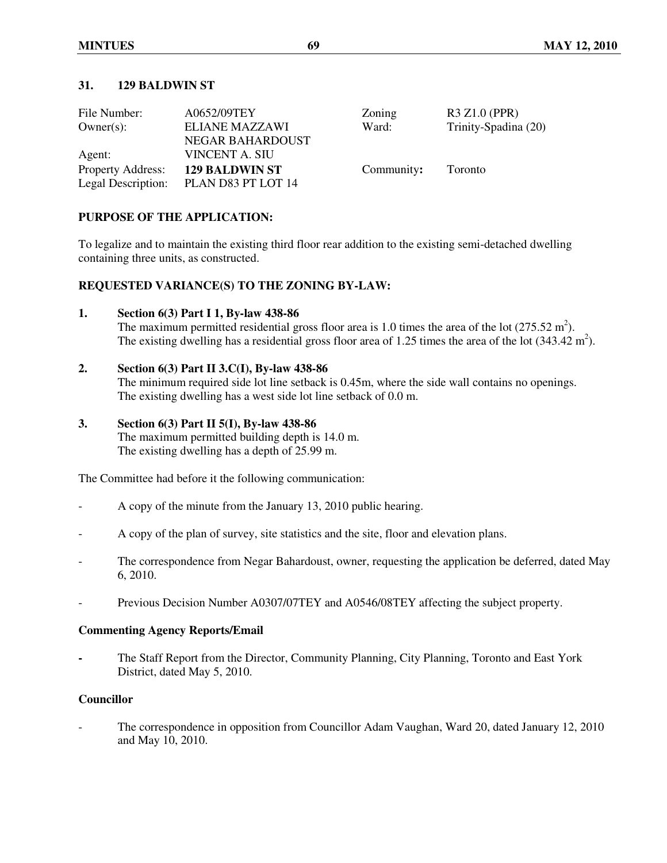# **31. 129 BALDWIN ST**

| File Number:             | A0652/09TEY             | Zoning     | R3 Z1.0 (PPR)        |
|--------------------------|-------------------------|------------|----------------------|
| $Owner(s)$ :             | <b>ELIANE MAZZAWI</b>   | Ward:      | Trinity-Spadina (20) |
|                          | <b>NEGAR BAHARDOUST</b> |            |                      |
| Agent:                   | VINCENT A. SIU          |            |                      |
| <b>Property Address:</b> | <b>129 BALDWIN ST</b>   | Community: | Toronto              |
| Legal Description:       | PLAN D83 PT LOT 14      |            |                      |

# **PURPOSE OF THE APPLICATION:**

To legalize and to maintain the existing third floor rear addition to the existing semi-detached dwelling containing three units, as constructed.

# **REQUESTED VARIANCE(S) TO THE ZONING BY-LAW:**

**1. Section 6(3) Part I 1, By-law 438-86** 

The maximum permitted residential gross floor area is 1.0 times the area of the lot  $(275.52 \text{ m}^2)$ . The existing dwelling has a residential gross floor area of 1.25 times the area of the lot  $(343.42 \text{ m}^2)$ .

# **2. Section 6(3) Part II 3.C(I), By-law 438-86**

The minimum required side lot line setback is 0.45m, where the side wall contains no openings. The existing dwelling has a west side lot line setback of 0.0 m.

# **3. Section 6(3) Part II 5(I), By-law 438-86**

The maximum permitted building depth is 14.0 m. The existing dwelling has a depth of 25.99 m.

The Committee had before it the following communication:

- A copy of the minute from the January 13, 2010 public hearing.
- A copy of the plan of survey, site statistics and the site, floor and elevation plans.
- The correspondence from Negar Bahardoust, owner, requesting the application be deferred, dated May 6, 2010.
- Previous Decision Number A0307/07TEY and A0546/08TEY affecting the subject property.

#### **Commenting Agency Reports/Email**

**-** The Staff Report from the Director, Community Planning, City Planning, Toronto and East York District, dated May 5, 2010.

# **Councillor**

The correspondence in opposition from Councillor Adam Vaughan, Ward 20, dated January 12, 2010 and May 10, 2010.